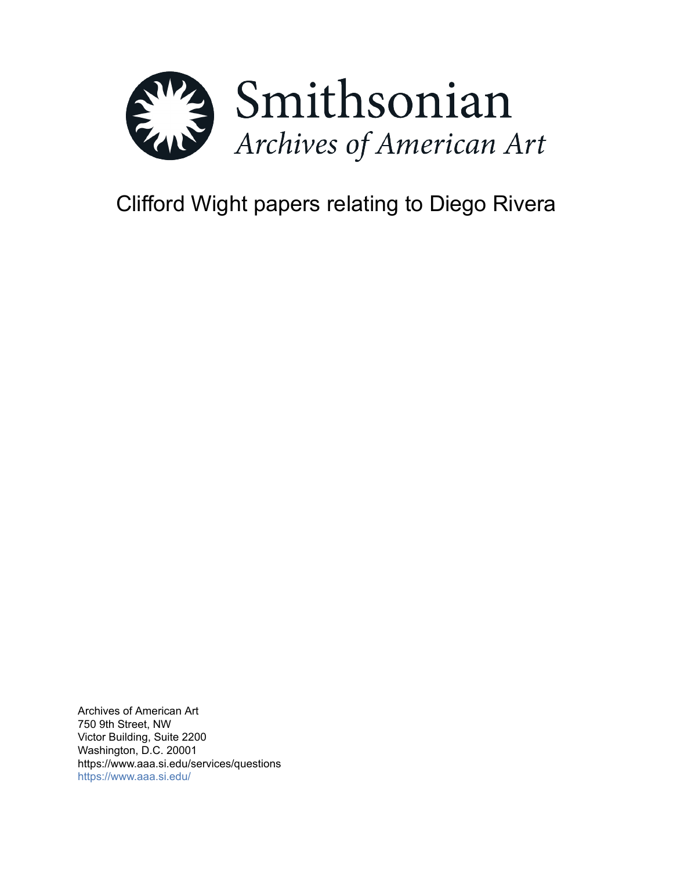

# Clifford Wight papers relating to Diego Rivera

Archives of American Art 750 9th Street, NW Victor Building, Suite 2200 Washington, D.C. 20001 https://www.aaa.si.edu/services/questions <https://www.aaa.si.edu/>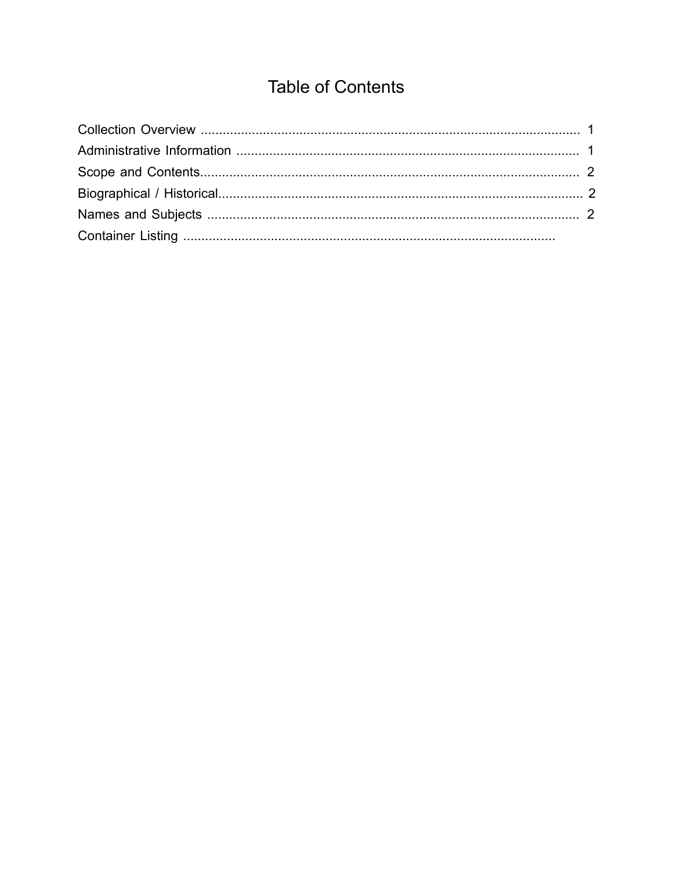## **Table of Contents**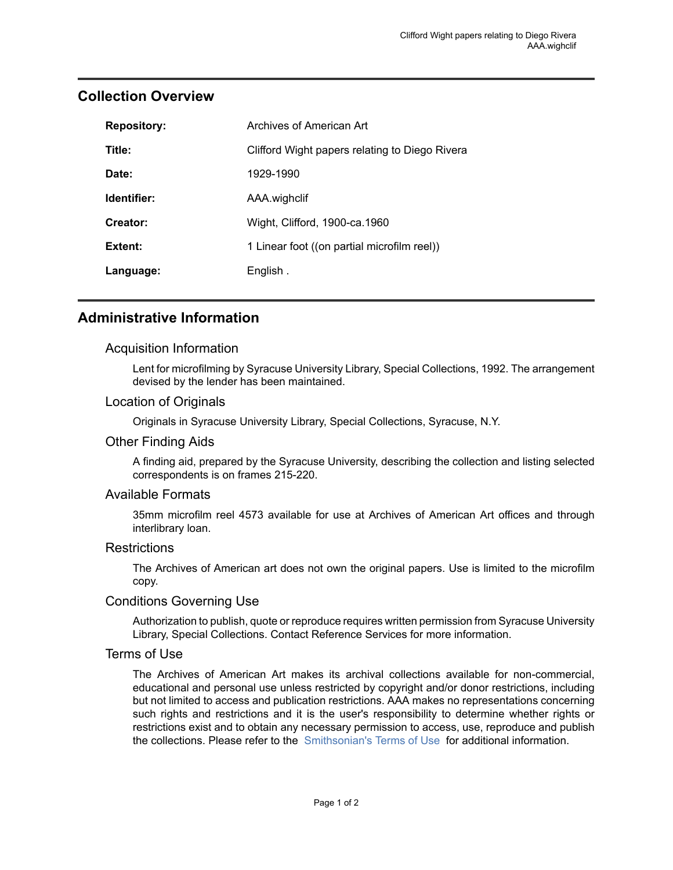| <b>Repository:</b> | Archives of American Art                       |
|--------------------|------------------------------------------------|
| Title:             | Clifford Wight papers relating to Diego Rivera |
| Date:              | 1929-1990                                      |
| Identifier:        | AAA.wighclif                                   |
| Creator:           | Wight, Clifford, 1900-ca.1960                  |
| Extent:            | 1 Linear foot ((on partial microfilm reel))    |
| Language:          | English.                                       |

## <span id="page-2-0"></span>**Collection Overview**

### <span id="page-2-1"></span>**Administrative Information**

#### Acquisition Information

Lent for microfilming by Syracuse University Library, Special Collections, 1992. The arrangement devised by the lender has been maintained.

#### Location of Originals

Originals in Syracuse University Library, Special Collections, Syracuse, N.Y.

#### Other Finding Aids

A finding aid, prepared by the Syracuse University, describing the collection and listing selected correspondents is on frames 215-220.

#### Available Formats

35mm microfilm reel 4573 available for use at Archives of American Art offices and through interlibrary loan.

#### Restrictions

The Archives of American art does not own the original papers. Use is limited to the microfilm copy.

#### Conditions Governing Use

Authorization to publish, quote or reproduce requires written permission from Syracuse University Library, Special Collections. Contact Reference Services for more information.

#### Terms of Use

The Archives of American Art makes its archival collections available for non-commercial, educational and personal use unless restricted by copyright and/or donor restrictions, including but not limited to access and publication restrictions. AAA makes no representations concerning such rights and restrictions and it is the user's responsibility to determine whether rights or restrictions exist and to obtain any necessary permission to access, use, reproduce and publish the collections. Please refer to the [Smithsonian's](https://www.si.edu/termsofuse) Terms of Use for additional information.